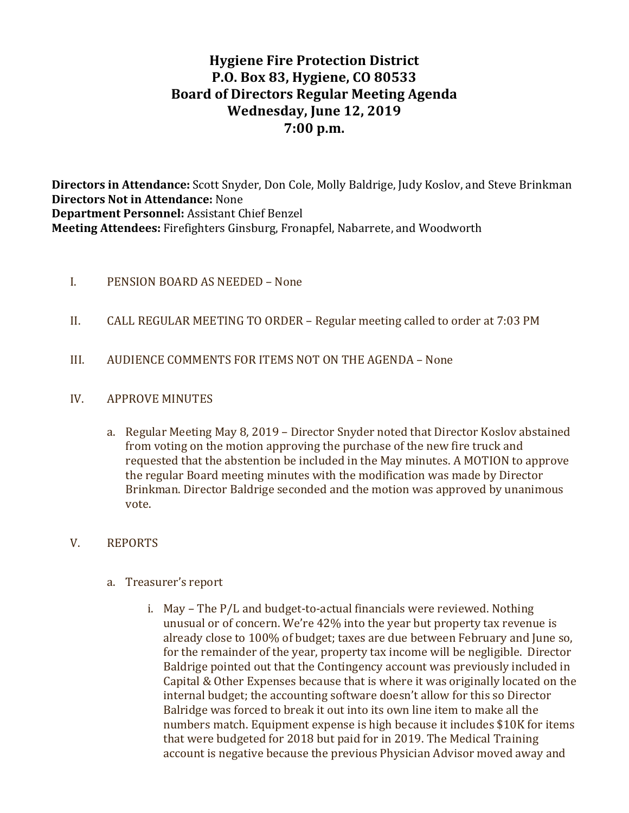# **Hygiene Fire Protection District P.O. Box 83, Hygiene, CO 80533 Board of Directors Regular Meeting Agenda** Wednesday, June 12, 2019 **7:00 p.m.**

**Directors in Attendance:** Scott Snyder, Don Cole, Molly Baldrige, Judy Koslov, and Steve Brinkman **Directors Not in Attendance:** None **Department Personnel:** Assistant Chief Benzel **Meeting Attendees:** Firefighters Ginsburg, Fronapfel, Nabarrete, and Woodworth

### I. PENSION BOARD AS NEEDED – None

- II. CALL REGULAR MEETING TO ORDER Regular meeting called to order at 7:03 PM
- III. AUDIENCE COMMENTS FOR ITEMS NOT ON THE AGENDA None

#### IV. APPROVE MINUTES

a. Regular Meeting May 8, 2019 - Director Snyder noted that Director Koslov abstained from voting on the motion approving the purchase of the new fire truck and requested that the abstention be included in the May minutes. A MOTION to approve the regular Board meeting minutes with the modification was made by Director Brinkman. Director Baldrige seconded and the motion was approved by unanimous vote.

#### V. REPORTS

- a. Treasurer's report
	- i. May  $-$  The  $P/L$  and budget-to-actual financials were reviewed. Nothing unusual or of concern. We're 42% into the year but property tax revenue is already close to 100% of budget; taxes are due between February and June so, for the remainder of the year, property tax income will be negligible. Director Baldrige pointed out that the Contingency account was previously included in Capital & Other Expenses because that is where it was originally located on the internal budget; the accounting software doesn't allow for this so Director Balridge was forced to break it out into its own line item to make all the numbers match. Equipment expense is high because it includes \$10K for items that were budgeted for 2018 but paid for in 2019. The Medical Training account is negative because the previous Physician Advisor moved away and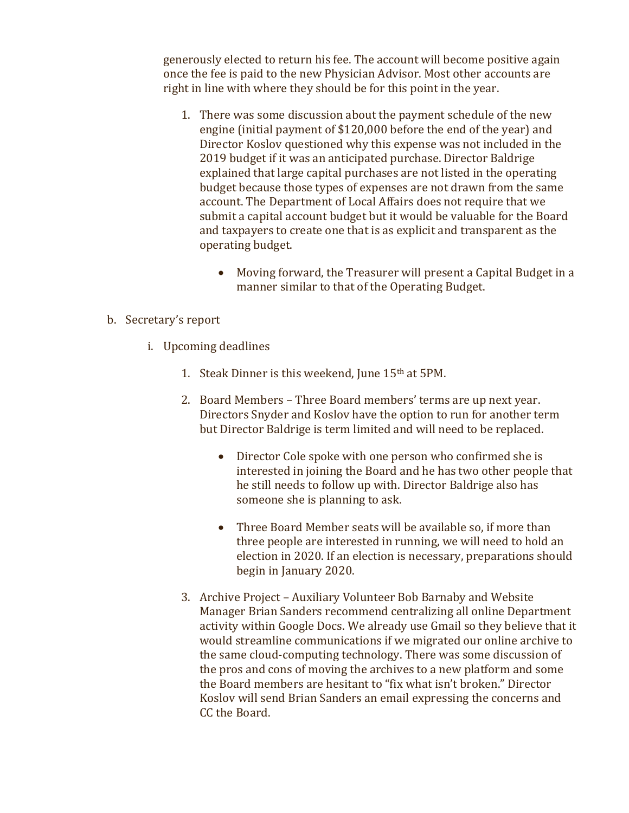generously elected to return his fee. The account will become positive again once the fee is paid to the new Physician Advisor. Most other accounts are right in line with where they should be for this point in the year.

- 1. There was some discussion about the payment schedule of the new engine (initial payment of  $$120,000$  before the end of the year) and Director Koslov questioned why this expense was not included in the 2019 budget if it was an anticipated purchase. Director Baldrige explained that large capital purchases are not listed in the operating budget because those types of expenses are not drawn from the same account. The Department of Local Affairs does not require that we submit a capital account budget but it would be valuable for the Board and taxpayers to create one that is as explicit and transparent as the operating budget.
	- Moving forward, the Treasurer will present a Capital Budget in a manner similar to that of the Operating Budget.

### b. Secretary's report

- i. Upcoming deadlines
	- 1. Steak Dinner is this weekend, June  $15<sup>th</sup>$  at  $5PM$ .
	- 2. Board Members Three Board members' terms are up next year. Directors Snyder and Koslov have the option to run for another term but Director Baldrige is term limited and will need to be replaced.
		- Director Cole spoke with one person who confirmed she is interested in joining the Board and he has two other people that he still needs to follow up with. Director Baldrige also has someone she is planning to ask.
		- Three Board Member seats will be available so, if more than three people are interested in running, we will need to hold an election in 2020. If an election is necessary, preparations should begin in January 2020.
	- 3. Archive Project Auxiliary Volunteer Bob Barnaby and Website Manager Brian Sanders recommend centralizing all online Department activity within Google Docs. We already use Gmail so they believe that it would streamline communications if we migrated our online archive to the same cloud-computing technology. There was some discussion of the pros and cons of moving the archives to a new platform and some the Board members are hesitant to "fix what isn't broken." Director Koslov will send Brian Sanders an email expressing the concerns and CC the Board.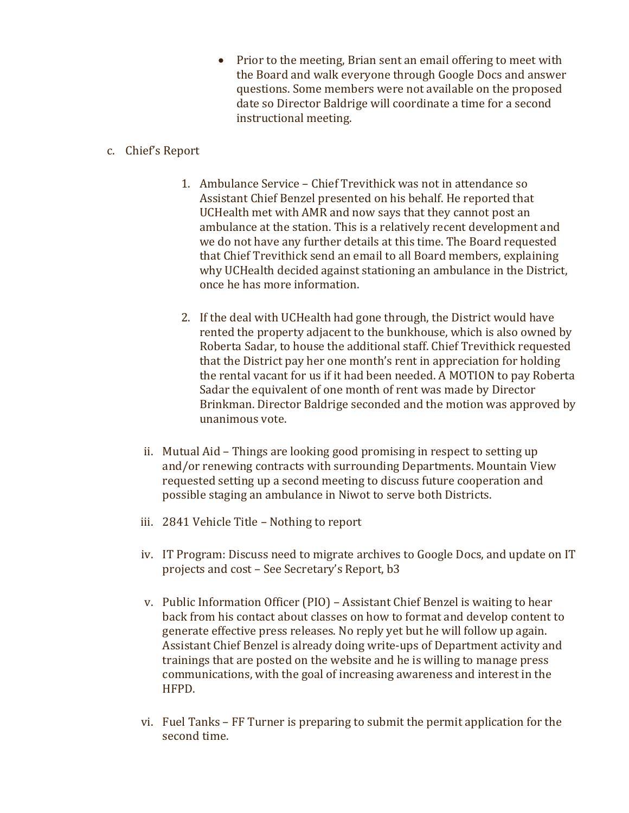• Prior to the meeting, Brian sent an email offering to meet with the Board and walk everyone through Google Docs and answer questions. Some members were not available on the proposed date so Director Baldrige will coordinate a time for a second instructional meeting.

# c. Chief's Report

- 1. Ambulance Service Chief Trevithick was not in attendance so Assistant Chief Benzel presented on his behalf. He reported that UCHealth met with AMR and now says that they cannot post an ambulance at the station. This is a relatively recent development and we do not have any further details at this time. The Board requested that Chief Trevithick send an email to all Board members, explaining why UCHealth decided against stationing an ambulance in the District, once he has more information.
- 2. If the deal with UCHealth had gone through, the District would have rented the property adjacent to the bunkhouse, which is also owned by Roberta Sadar, to house the additional staff. Chief Trevithick requested that the District pay her one month's rent in appreciation for holding the rental vacant for us if it had been needed. A MOTION to pay Roberta Sadar the equivalent of one month of rent was made by Director Brinkman. Director Baldrige seconded and the motion was approved by unanimous vote.
- ii. Mutual Aid Things are looking good promising in respect to setting up and/or renewing contracts with surrounding Departments. Mountain View requested setting up a second meeting to discuss future cooperation and possible staging an ambulance in Niwot to serve both Districts.
- iii. 2841 Vehicle Title Nothing to report
- iv. IT Program: Discuss need to migrate archives to Google Docs, and update on IT projects and cost – See Secretary's Report, b3
- v. Public Information Officer (PIO) Assistant Chief Benzel is waiting to hear back from his contact about classes on how to format and develop content to generate effective press releases. No reply yet but he will follow up again. Assistant Chief Benzel is already doing write-ups of Department activity and trainings that are posted on the website and he is willing to manage press communications, with the goal of increasing awareness and interest in the HFPD.
- vi. Fuel Tanks FF Turner is preparing to submit the permit application for the second time.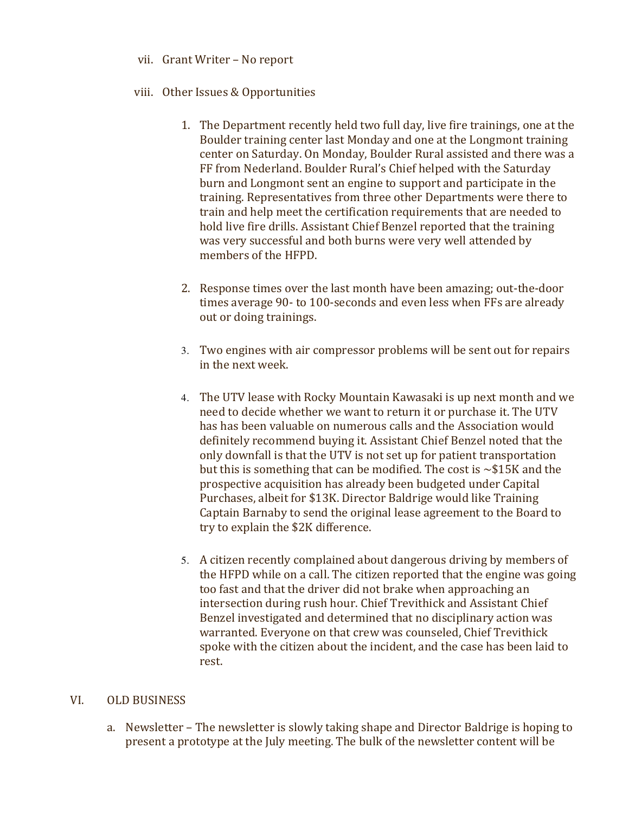- vii. Grant Writer No report
- viii. Other Issues & Opportunities
	- 1. The Department recently held two full day, live fire trainings, one at the Boulder training center last Monday and one at the Longmont training center on Saturday. On Monday, Boulder Rural assisted and there was a FF from Nederland. Boulder Rural's Chief helped with the Saturday burn and Longmont sent an engine to support and participate in the training. Representatives from three other Departments were there to train and help meet the certification requirements that are needed to hold live fire drills. Assistant Chief Benzel reported that the training was very successful and both burns were very well attended by members of the HFPD.
	- 2. Response times over the last month have been amazing; out-the-door times average 90- to 100-seconds and even less when FFs are already out or doing trainings.
	- 3. Two engines with air compressor problems will be sent out for repairs in the next week.
	- 4. The UTV lease with Rocky Mountain Kawasaki is up next month and we need to decide whether we want to return it or purchase it. The UTV has has been valuable on numerous calls and the Association would definitely recommend buying it. Assistant Chief Benzel noted that the only downfall is that the UTV is not set up for patient transportation but this is something that can be modified. The cost is  $\sim$ \$15K and the prospective acquisition has already been budgeted under Capital Purchases, albeit for \$13K. Director Baldrige would like Training Captain Barnaby to send the original lease agreement to the Board to try to explain the \$2K difference.
	- 5. A citizen recently complained about dangerous driving by members of the HFPD while on a call. The citizen reported that the engine was going too fast and that the driver did not brake when approaching an intersection during rush hour. Chief Trevithick and Assistant Chief Benzel investigated and determined that no disciplinary action was warranted. Everyone on that crew was counseled, Chief Trevithick spoke with the citizen about the incident, and the case has been laid to rest.

# VI. OLD BUSINESS

a. Newsletter - The newsletter is slowly taking shape and Director Baldrige is hoping to present a prototype at the July meeting. The bulk of the newsletter content will be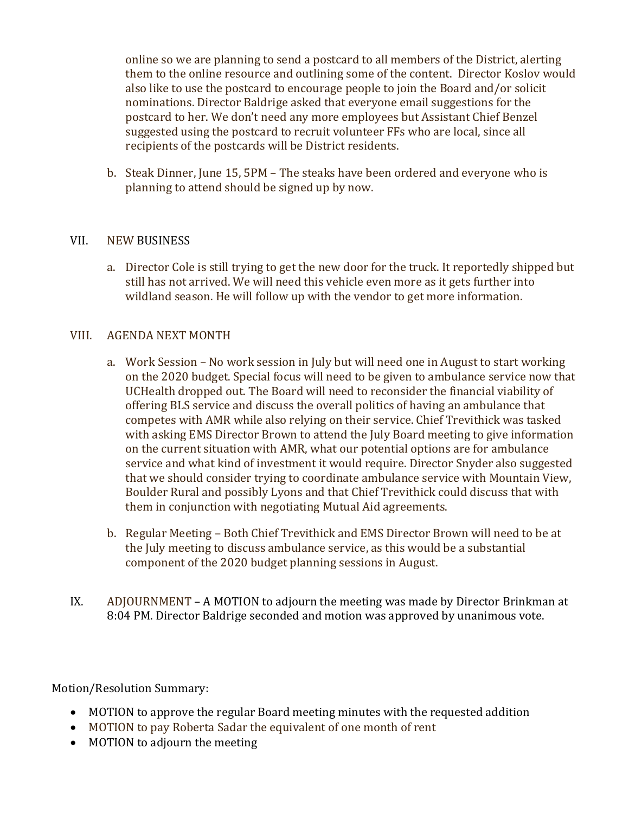online so we are planning to send a postcard to all members of the District, alerting them to the online resource and outlining some of the content. Director Koslov would also like to use the postcard to encourage people to join the Board and/or solicit nominations. Director Baldrige asked that everyone email suggestions for the postcard to her. We don't need any more employees but Assistant Chief Benzel suggested using the postcard to recruit volunteer FFs who are local, since all recipients of the postcards will be District residents.

b. Steak Dinner, June 15, 5PM – The steaks have been ordered and everyone who is planning to attend should be signed up by now.

### VII. NEW BUSINESS

a. Director Cole is still trying to get the new door for the truck. It reportedly shipped but still has not arrived. We will need this vehicle even more as it gets further into wildland season. He will follow up with the vendor to get more information.

#### VIII. AGENDA NEXT MONTH

- a. Work Session No work session in July but will need one in August to start working on the 2020 budget. Special focus will need to be given to ambulance service now that UCHealth dropped out. The Board will need to reconsider the financial viability of offering BLS service and discuss the overall politics of having an ambulance that competes with AMR while also relying on their service. Chief Trevithick was tasked with asking EMS Director Brown to attend the July Board meeting to give information on the current situation with AMR, what our potential options are for ambulance service and what kind of investment it would require. Director Snyder also suggested that we should consider trying to coordinate ambulance service with Mountain View, Boulder Rural and possibly Lyons and that Chief Trevithick could discuss that with them in conjunction with negotiating Mutual Aid agreements.
- b. Regular Meeting Both Chief Trevithick and EMS Director Brown will need to be at the July meeting to discuss ambulance service, as this would be a substantial component of the 2020 budget planning sessions in August.
- IX. ADJOURNMENT A MOTION to adjourn the meeting was made by Director Brinkman at 8:04 PM. Director Baldrige seconded and motion was approved by unanimous vote.

Motion/Resolution Summary:

- MOTION to approve the regular Board meeting minutes with the requested addition
- MOTION to pay Roberta Sadar the equivalent of one month of rent
- MOTION to adjourn the meeting